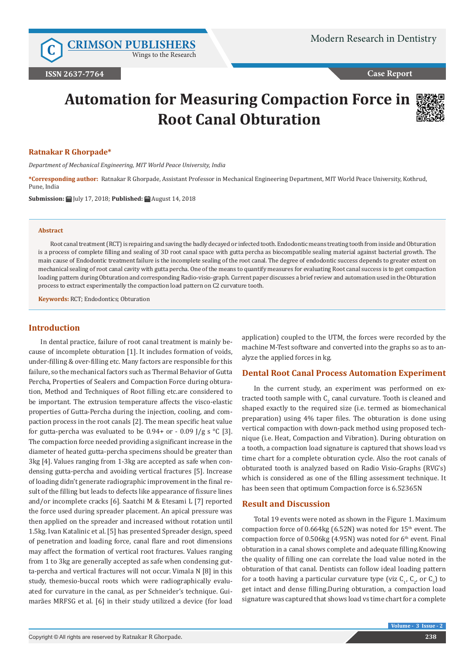**C [CRIMSON PUBLISHERS](http://crimsonpublishers.com/index.php)** Wings to the Research

**Case Report**

# **Automation for Measuring Compaction Force in Root Canal Obturation**



#### **Ratnakar R Ghorpade\***

*Department of Mechanical Engineering, MIT World Peace University, India*

**\*Corresponding author:** Ratnakar R Ghorpade, Assistant Professor in Mechanical Engineering Department, MIT World Peace University, Kothrud, Pune, India

**Submission:** July 17, 2018; **Published:** August 14, 2018

#### **Abstract**

Root canal treatment (RCT) is repairing and saving the badly decayed or infected tooth. Endodontic means treating tooth from inside and Obturation is a process of complete filling and sealing of 3D root canal space with gutta percha as biocompatible sealing material against bacterial growth. The main cause of Endodontic treatment failure is the incomplete sealing of the root canal. The degree of endodontic success depends to greater extent on mechanical sealing of root canal cavity with gutta percha. One of the means to quantify measures for evaluating Root canal success is to get compaction loading pattern during Obturation and corresponding Radio-visio-graph. Current paper discusses a brief review and automation used in the Obturation process to extract experimentally the compaction load pattern on C2 curvature tooth.

**Keywords:** RCT; Endodontics; Obturation

## **Introduction**

In dental practice, failure of root canal treatment is mainly because of incomplete obturation [1]. It includes formation of voids, under-filling & over-filling etc. Many factors are responsible for this failure, so the mechanical factors such as Thermal Behavior of Gutta Percha, Properties of Sealers and Compaction Force during obturation, Method and Techniques of Root filling etc.are considered to be important. The extrusion temperature affects the visco-elastic properties of Gutta-Percha during the injection, cooling, and compaction process in the root canals [2]. The mean specific heat value for gutta-percha was evaluated to be  $0.94+$  or -  $0.09$  J/g s °C [3]. The compaction force needed providing a significant increase in the diameter of heated gutta-percha specimens should be greater than 3kg [4]. Values ranging from 1-3kg are accepted as safe when condensing gutta-percha and avoiding vertical fractures [5]. Increase of loading didn't generate radiographic improvement in the final result of the filling but leads to defects like appearance of fissure lines and/or incomplete cracks [6]. Saatchi M & Etesami L [7] reported the force used during spreader placement. An apical pressure was then applied on the spreader and increased without rotation until 1.5kg. Ivan Katalinic et al. [5] has presented Spreader design, speed of penetration and loading force, canal flare and root dimensions may affect the formation of vertical root fractures. Values ranging from 1 to 3kg are generally accepted as safe when condensing gutta-percha and vertical fractures will not occur. Vimala N [8] in this study, themesio-buccal roots which were radiographically evaluated for curvature in the canal, as per Schneider's technique. Guimarães MRFSG et al. [6] in their study utilized a device (for load

application) coupled to the UTM, the forces were recorded by the machine M-Test software and converted into the graphs so as to analyze the applied forces in kg.

#### **Dental Root Canal Process Automation Experiment**

In the current study, an experiment was performed on extracted tooth sample with  $\mathsf{C}_2$  canal curvature. Tooth is cleaned and shaped exactly to the required size (i.e. termed as biomechanical preparation) using 4% taper files. The obturation is done using vertical compaction with down-pack method using proposed technique (i.e. Heat, Compaction and Vibration). During obturation on a tooth, a compaction load signature is captured that shows load vs time chart for a complete obturation cycle. Also the root canals of obturated tooth is analyzed based on Radio Visio-Graphs (RVG's) which is considered as one of the filling assessment technique. It has been seen that optimum Compaction force is 6.52365N

#### **Result and Discussion**

Total 19 events were noted as shown in the Figure 1. Maximum compaction force of  $0.664$ kg  $(6.52N)$  was noted for  $15<sup>th</sup>$  event. The compaction force of  $0.506$ kg (4.95N) was noted for  $6<sup>th</sup>$  event. Final obturation in a canal shows complete and adequate filling.Knowing the quality of filling one can correlate the load value noted in the obturation of that canal. Dentists can follow ideal loading pattern for a tooth having a particular curvature type (viz  $C_1$ ,  $C_2$ , or  $C_3$ ) to get intact and dense filling.During obturation, a compaction load signature was captured that shows load vs time chart for a complete